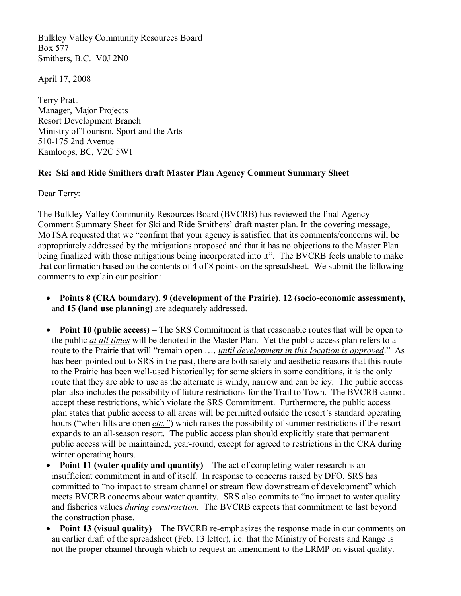Bulkley Valley Community Resources Board Box 577 Smithers, B.C. V0J 2N0

April 17, 2008

Terry Pratt Manager, Major Projects Resort Development Branch Ministry of Tourism, Sport and the Arts 510-175 2nd Avenue Kamloops, BC, V2C 5W1

## **Re: Ski and Ride Smithers draft Master Plan Agency Comment Summary Sheet**

Dear Terry:

The Bulkley Valley Community Resources Board (BVCRB) has reviewed the final Agency Comment Summary Sheet for Ski and Ride Smithers' draft master plan. In the covering message, MoTSA requested that we "confirm that your agency is satisfied that its comments/concerns will be appropriately addressed by the mitigations proposed and that it has no objections to the Master Plan being finalized with those mitigations being incorporated into it". The BVCRB feels unable to make that confirmation based on the contents of 4 of 8 points on the spreadsheet. We submit the following comments to explain our position:

- **Points 8 (CRA boundary)**, 9 (development of the Prairie), 12 (socio-economic assessment), and **15 (land use planning)** are adequately addressed.
- · **Point 10 (public access)** The SRS Commitment is that reasonable routes that will be open to the public *at all times* will be denoted in the Master Plan. Yet the public access plan refers to a route to the Prairie that will "remain open …. *until development in this location is approved*." As has been pointed out to SRS in the past, there are both safety and aesthetic reasons that this route to the Prairie has been well-used historically; for some skiers in some conditions, it is the only route that they are able to use as the alternate is windy, narrow and can be icy. The public access plan also includes the possibility of future restrictions for the Trail to Town. The BVCRB cannot accept these restrictions, which violate the SRS Commitment. Furthermore, the public access plan states that public access to all areas will be permitted outside the resort's standard operating hours ("when lifts are open *etc."*) which raises the possibility of summer restrictions if the resort expands to an all-season resort. The public access plan should explicitly state that permanent public access will be maintained, year-round, except for agreed to restrictions in the CRA during winter operating hours.
- · **Point 11 (water quality and quantity)** The act of completing water research is an insufficient commitment in and of itself. In response to concerns raised by DFO, SRS has committed to "no impact to stream channel or stream flow downstream of development" which meets BVCRB concerns about water quantity. SRS also commits to "no impact to water quality and fisheries values *during construction.* The BVCRB expects that commitment to last beyond the construction phase.
- **Point 13 (visual quality)** The BVCRB re-emphasizes the response made in our comments on an earlier draft of the spreadsheet (Feb. 13 letter), i.e. that the Ministry of Forests and Range is not the proper channel through which to request an amendment to the LRMP on visual quality.